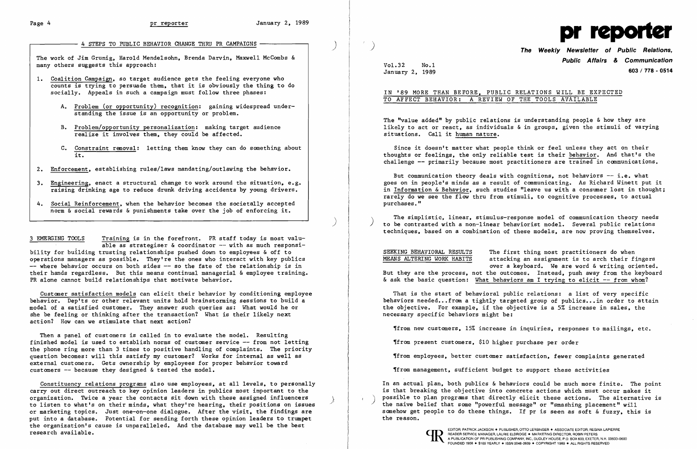4 STEPS TO PUBLIC BEHAVIOR CHANGE THRU PR CAMPAIGNS

The work of Jim Grunig, Harold Mendelsohn, Brenda Darvin, Maxwell McCombs & many others suggests this approach:

- 1. Coalition Campaign, so target audience gets the feeling everyone who counts is trying to persuade them, that it is obviously the thing to do socially. Appeals in such a campaign must follow three phases:
	- A. Problem (or opportunity) recognition: gaining widespread understanding the issue is an opportunity or problem.
	- B. Problem/opportunity personalization: making target audience realize it involves them, they could be affected.
	- C. Constraint removal: letting them know they can do something about it.
- 2. Enforcement, establishing rules/laws mandating/outlawing the behavior.
- 3. Engineering, enact a structural change to work around the situation. e.g. raising drinking age to reduce drunk driving accidents by young drivers.
- 4. Social Reinforcement. when the behavior becomes the societally accepted norm & social rewards & punishments take over the job of enforcing it.

Constituency relations programs also use employees, at all levels. to personally carry out direct outreach to key opinion leaders in publics most important to the organization. Twice a year the contacts sit down with these assigned influencers<br>to listen to what's on their minds, what they're hearing, their positions on issues<br>or marketing topics. Just one-on-one dialogue. After the or marketing topics. Just one-on-one dialogue. After the visit, the findings are somehow get<br>put into a database. Potential for sending forth these opinion leaders to trumpet the reason. put into a database. Potential for sending forth these opinion leaders to trumpet the organization's cause is unparalleled. And the database may well be the best<br>research available.

3 EMERGING TOOLS Training is in the forefront. PR staff today is most valuable as strategiser & coordinator  $--$  with as much responsibility for building trusting relationships pushed down to employees & off to operations managers as possible. They're the ones who interact with key publics -- where behavior occurs on both sides -- so the fate of the relationship is in their hands regardless. But this means continual managerial & employee training. PR alone cannot build relationships that motivate behavior.

The "value added" by public relations is understanding people  $\&$  how they are likely to act or react, as individuals &in groups, given the stimuli of varying situations. Call it human nature.

Customer satisfaction models can elicit their behavior by conditioning employee behavior. Dep'ts or other relevant units hold brainstorming sessions to build a model of a satisfied customer. They answer such queries as: What would he or she be feeling or thinking after the transaction? What is their likely next action? How can we stimulate that next action?

But communication theory deals with cognitions, not behaviors -- i.e. what goes on in people's minds as a result of communicating. As Richard Winett put it in Information & Behavior, such studies "leave us with a consumer lost in thought; rarely do we see the flow thru from stimuli, to cognitive processes, to actual purchases."

The simplistic, linear, stimulus-response model of communication theory needs to be contrasted with a non-linear behaviorist model. Several public relations techniques, based on a combination of these models, are now proving themselves.

SEEKING BEHAVIORAL RESULTS The first thing most practitioners do when<br>MEANS ALTERING WORK HABITS attacking an assignment is to arch their fi attacking an assignment is to arch their fingers over a keyboard. We are word & writing oriented. But they are the process, not the outcomes. Instead, push away from the keyboard & ask the basic question: What behaviors am I trying to elicit  $--$  from whom?

Then a panel of customers is called in to evaluate the model. Resulting finished model is used to establish norms of customer service -- from not letting the phone ring more than 3 times to positive handling of complaints. The priority question becomes: will this satisfy my customer? Works for internal as well as external customers. Gets ownership by employees for proper behavior toward customers -- because they designed & tested the model.

> In an actual plan, both publics & behaviors could be much more finite. The point is that breaking the objective into concrete actions which must occur makes it



)

)



Vol. 32 No.1

**Public Affairs & Communication**  January 2, 1989 **603/ 778 - 0514** 

IN '89 MORE THAN BEFORE, PUBLIC RELATIONS WILL BE EXPECTED TO AFFECT BEHAVIOR: A REVIEW OF THE TOOLS AVAILABLE

Since it doesn't matter what people think or feel unless they act on their thoughts or feelings, the only reliable test is their behavior. And that's the challenge -- primarily because most practitioners are trained in communicat ions.

That is the start of behavioral public relations: a list of very specific behaviors needed...from a tightly targeted group of publics...in order to attain the objective. For example, if the objective is a 5% increase in sales, the necessary specific behaviors might be:

'from new customers, 15% increase in inquiries, responses to mailings, etc.

'from present customers, \$10 higher purchase per order

'from employees, better customer satisfaction, fewer complaints generated

'from management, sufficient budget to support these activities